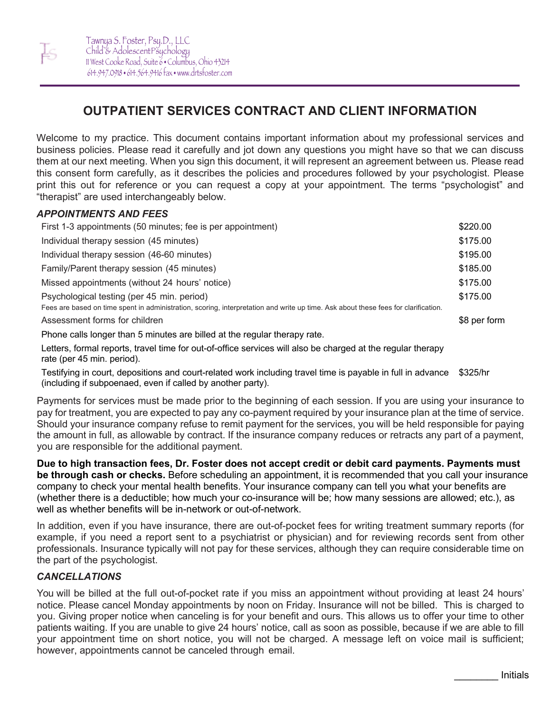

# **OUTPATIENT SERVICES CONTRACT AND CLIENT INFORMATION**

Welcome to my practice. This document contains important information about my professional services and business policies. Please read it carefully and jot down any questions you might have so that we can discuss them at our next meeting. When you sign this document, it will represent an agreement between us. Please read this consent form carefully, as it describes the policies and procedures followed by your psychologist. Please print this out for reference or you can request a copy at your appointment. The terms "psychologist" and "therapist" are used interchangeably below.

#### *APPOINTMENTS AND FEES*

| First 1-3 appointments (50 minutes; fee is per appointment)                                                                        | \$220.00     |
|------------------------------------------------------------------------------------------------------------------------------------|--------------|
| Individual therapy session (45 minutes)                                                                                            | \$175.00     |
| Individual therapy session (46-60 minutes)                                                                                         | \$195.00     |
| Family/Parent therapy session (45 minutes)                                                                                         | \$185.00     |
| Missed appointments (without 24 hours' notice)                                                                                     | \$175.00     |
| Psychological testing (per 45 min. period)                                                                                         | \$175.00     |
| Fees are based on time spent in administration, scoring, interpretation and write up time. Ask about these fees for clarification. |              |
| Assessment forms for children                                                                                                      | \$8 per form |
| Phone calls longer than 5 minutes are billed at the regular therapy rate.                                                          |              |

Letters, formal reports, travel time for out-of-office services will also be charged at the regular therapy rate (per 45 min. period).

Testifying in court, depositions and court-related work including travel time is payable in full in advance \$325/hr (including if subpoenaed, even if called by another party).

Payments for services must be made prior to the beginning of each session. If you are using your insurance to pay for treatment, you are expected to pay any co-payment required by your insurance plan at the time of service. Should your insurance company refuse to remit payment for the services, you will be held responsible for paying the amount in full, as allowable by contract. If the insurance company reduces or retracts any part of a payment, you are responsible for the additional payment.

**Due to high transaction fees, Dr. Foster does not accept credit or debit card payments. Payments must be through cash or checks.** Before scheduling an appointment, it is recommended that you call your insurance company to check your mental health benefits. Your insurance company can tell you what your benefits are (whether there is a deductible; how much your co-insurance will be; how many sessions are allowed; etc.), as well as whether benefits will be in-network or out-of-network.

In addition, even if you have insurance, there are out-of-pocket fees for writing treatment summary reports (for example, if you need a report sent to a psychiatrist or physician) and for reviewing records sent from other professionals. Insurance typically will not pay for these services, although they can require considerable time on the part of the psychologist.

#### *CANCELLATIONS*

You will be billed at the full out-of-pocket rate if you miss an appointment without providing at least 24 hours' notice. Please cancel Monday appointments by noon on Friday. Insurance will not be billed. This is charged to you. Giving proper notice when canceling is for your benefit and ours. This allows us to offer your time to other patients waiting. If you are unable to give 24 hours' notice, call as soon as possible, because if we are able to fill your appointment time on short notice, you will not be charged. A message left on voice mail is sufficient; however, appointments cannot be canceled through email.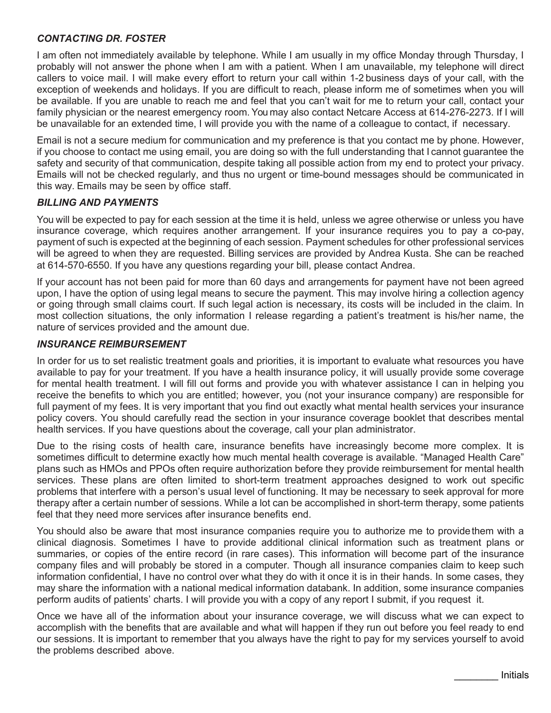#### *CONTACTING DR. FOSTER*

I am often not immediately available by telephone. While I am usually in my office Monday through Thursday, I probably will not answer the phone when I am with a patient. When I am unavailable, my telephone will direct callers to voice mail. I will make every effort to return your call within 1-2 business days of your call, with the exception of weekends and holidays. If you are difficult to reach, please inform me of sometimes when you will be available. If you are unable to reach me and feel that you can't wait for me to return your call, contact your family physician or the nearest emergency room. You may also contact Netcare Access at 614-276-2273. If I will be unavailable for an extended time, I will provide you with the name of a colleague to contact, if necessary.

Email is not a secure medium for communication and my preference is that you contact me by phone. However, if you choose to contact me using email, you are doing so with the full understanding that I cannot guarantee the safety and security of that communication, despite taking all possible action from my end to protect your privacy. Emails will not be checked regularly, and thus no urgent or time-bound messages should be communicated in this way. Emails may be seen by office staff.

#### *BILLING AND PAYMENTS*

You will be expected to pay for each session at the time it is held, unless we agree otherwise or unless you have insurance coverage, which requires another arrangement. If your insurance requires you to pay a co-pay, payment of such is expected at the beginning of each session. Payment schedules for other professional services will be agreed to when they are requested. Billing services are provided by Andrea Kusta. She can be reached at 614-570-6550. If you have any questions regarding your bill, please contact Andrea.

If your account has not been paid for more than 60 days and arrangements for payment have not been agreed upon, I have the option of using legal means to secure the payment. This may involve hiring a collection agency or going through small claims court. If such legal action is necessary, its costs will be included in the claim. In most collection situations, the only information I release regarding a patient's treatment is his/her name, the nature of services provided and the amount due.

#### *INSURANCE REIMBURSEMENT*

In order for us to set realistic treatment goals and priorities, it is important to evaluate what resources you have available to pay for your treatment. If you have a health insurance policy, it will usually provide some coverage for mental health treatment. I will fill out forms and provide you with whatever assistance I can in helping you receive the benefits to which you are entitled; however, you (not your insurance company) are responsible for full payment of my fees. It is very important that you find out exactly what mental health services your insurance policy covers. You should carefully read the section in your insurance coverage booklet that describes mental health services. If you have questions about the coverage, call your plan administrator.

Due to the rising costs of health care, insurance benefits have increasingly become more complex. It is sometimes difficult to determine exactly how much mental health coverage is available. "Managed Health Care" plans such as HMOs and PPOs often require authorization before they provide reimbursement for mental health services. These plans are often limited to short-term treatment approaches designed to work out specific problems that interfere with a person's usual level of functioning. It may be necessary to seek approval for more therapy after a certain number of sessions. While a lot can be accomplished in short-term therapy, some patients feel that they need more services after insurance benefits end.

You should also be aware that most insurance companies require you to authorize me to providethem with a clinical diagnosis. Sometimes I have to provide additional clinical information such as treatment plans or summaries, or copies of the entire record (in rare cases). This information will become part of the insurance company files and will probably be stored in a computer. Though all insurance companies claim to keep such information confidential, I have no control over what they do with it once it is in their hands. In some cases, they may share the information with a national medical information databank. In addition, some insurance companies perform audits of patients' charts. I will provide you with a copy of any report I submit, if you request it.

Once we have all of the information about your insurance coverage, we will discuss what we can expect to accomplish with the benefits that are available and what will happen if they run out before you feel ready to end our sessions. It is important to remember that you always have the right to pay for my services yourself to avoid the problems described above.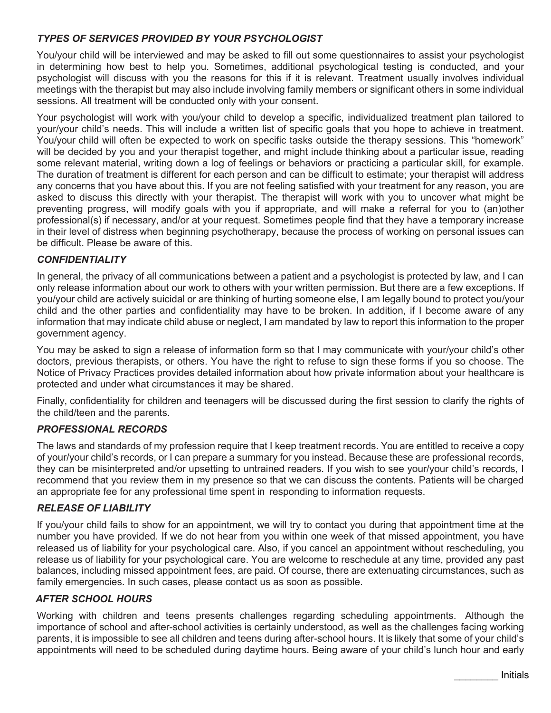# *TYPES OF SERVICES PROVIDED BY YOUR PSYCHOLOGIST*

You/your child will be interviewed and may be asked to fill out some questionnaires to assist your psychologist in determining how best to help you. Sometimes, additional psychological testing is conducted, and your psychologist will discuss with you the reasons for this if it is relevant. Treatment usually involves individual meetings with the therapist but may also include involving family members or significant others in some individual sessions. All treatment will be conducted only with your consent.

Your psychologist will work with you/your child to develop a specific, individualized treatment plan tailored to your/your child's needs. This will include a written list of specific goals that you hope to achieve in treatment. You/your child will often be expected to work on specific tasks outside the therapy sessions. This "homework" will be decided by you and your therapist together, and might include thinking about a particular issue, reading some relevant material, writing down a log of feelings or behaviors or practicing a particular skill, for example. The duration of treatment is different for each person and can be difficult to estimate; your therapist will address any concerns that you have about this. If you are not feeling satisfied with your treatment for any reason, you are asked to discuss this directly with your therapist. The therapist will work with you to uncover what might be preventing progress, will modify goals with you if appropriate, and will make a referral for you to (an)other professional(s) if necessary, and/or at your request. Sometimes people find that they have a temporary increase in their level of distress when beginning psychotherapy, because the process of working on personal issues can be difficult. Please be aware of this.

# *CONFIDENTIALITY*

In general, the privacy of all communications between a patient and a psychologist is protected by law, and I can only release information about our work to others with your written permission. But there are a few exceptions. If you/your child are actively suicidal or are thinking of hurting someone else, I am legally bound to protect you/your child and the other parties and confidentiality may have to be broken. In addition, if I become aware of any information that may indicate child abuse or neglect, I am mandated by law to report this information to the proper government agency.

You may be asked to sign a release of information form so that I may communicate with your/your child's other doctors, previous therapists, or others. You have the right to refuse to sign these forms if you so choose. The Notice of Privacy Practices provides detailed information about how private information about your healthcare is protected and under what circumstances it may be shared.

Finally, confidentiality for children and teenagers will be discussed during the first session to clarify the rights of the child/teen and the parents.

# *PROFESSIONAL RECORDS*

The laws and standards of my profession require that I keep treatment records. You are entitled to receive a copy of your/your child's records, or I can prepare a summary for you instead. Because these are professional records, they can be misinterpreted and/or upsetting to untrained readers. If you wish to see your/your child's records, I recommend that you review them in my presence so that we can discuss the contents. Patients will be charged an appropriate fee for any professional time spent in responding to information requests.

# *RELEASE OF LIABILITY*

If you/your child fails to show for an appointment, we will try to contact you during that appointment time at the number you have provided. If we do not hear from you within one week of that missed appointment, you have released us of liability for your psychological care. Also, if you cancel an appointment without rescheduling, you release us of liability for your psychological care. You are welcome to reschedule at any time, provided any past balances, including missed appointment fees, are paid. Of course, there are extenuating circumstances, such as family emergencies. In such cases, please contact us as soon as possible.

# *AFTER SCHOOL HOURS*

Working with children and teens presents challenges regarding scheduling appointments. Although the importance of school and after-school activities is certainly understood, as well as the challenges facing working parents, it is impossible to see all children and teens during after-school hours. It is likely that some of your child's appointments will need to be scheduled during daytime hours. Being aware of your child's lunch hour and early

\_\_\_\_\_\_\_\_ Initials